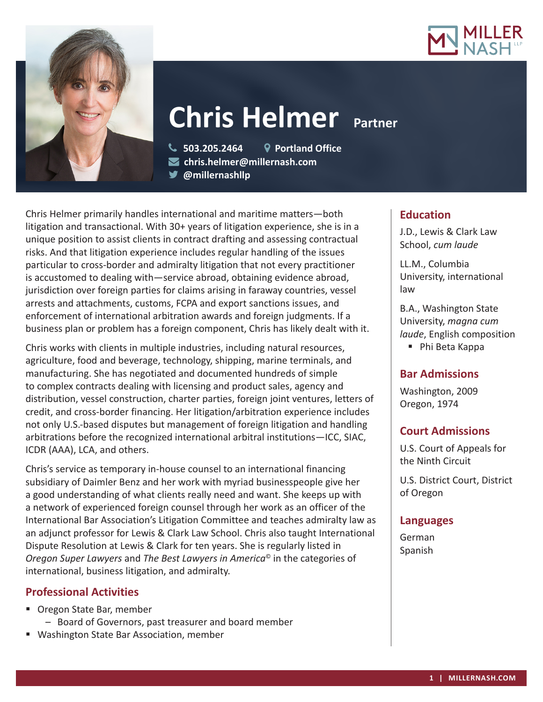



# **Chris Helmer** Partner

 **503.205.2464 Portland Office chris.helmer@millernash.com** 

**@millernashllp**

Chris Helmer primarily handles international and maritime matters—both litigation and transactional. With 30+ years of litigation experience, she is in a unique position to assist clients in contract drafting and assessing contractual risks. And that litigation experience includes regular handling of the issues particular to cross-border and admiralty litigation that not every practitioner is accustomed to dealing with—service abroad, obtaining evidence abroad, jurisdiction over foreign parties for claims arising in faraway countries, vessel arrests and attachments, customs, FCPA and export sanctions issues, and enforcement of international arbitration awards and foreign judgments. If a business plan or problem has a foreign component, Chris has likely dealt with it.

Chris works with clients in multiple industries, including natural resources, agriculture, food and beverage, technology, shipping, marine terminals, and manufacturing. She has negotiated and documented hundreds of simple to complex contracts dealing with licensing and product sales, agency and distribution, vessel construction, charter parties, foreign joint ventures, letters of credit, and cross-border financing. Her litigation/arbitration experience includes not only U.S.-based disputes but management of foreign litigation and handling arbitrations before the recognized international arbitral institutions—ICC, SIAC, ICDR (AAA), LCA, and others.

Chris's service as temporary in-house counsel to an international financing subsidiary of Daimler Benz and her work with myriad businesspeople give her a good understanding of what clients really need and want. She keeps up with a network of experienced foreign counsel through her work as an officer of the International Bar Association's Litigation Committee and teaches admiralty law as an adjunct professor for Lewis & Clark Law School. Chris also taught International Dispute Resolution at Lewis & Clark for ten years. She is regularly listed in *Oregon Super Lawyers* and *The Best Lawyers in America*© in the categories of international, business litigation, and admiralty.

# **Professional Activities**

- Oregon State Bar, member
	- Board of Governors, past treasurer and board member
- **Washington State Bar Association, member**

# **Education**

J.D., Lewis & Clark Law School, *cum laude*

LL.M., Columbia University, international law

B.A., Washington State University, *magna cum laude*, English composition ■ Phi Beta Kappa

# **Bar Admissions**

Washington, 2009 Oregon, 1974

# **Court Admissions**

U.S. Court of Appeals for the Ninth Circuit

U.S. District Court, District of Oregon

# **Languages**

German Spanish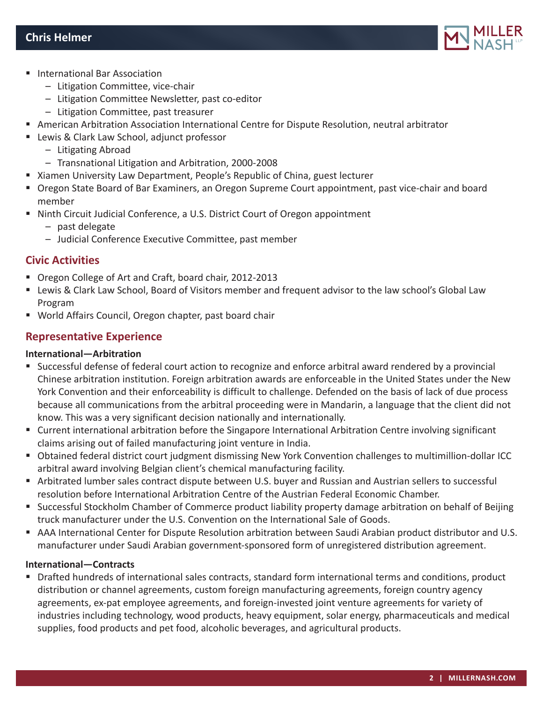

- **International Bar Association** 
	- Litigation Committee, vice-chair
	- Litigation Committee Newsletter, past co-editor
	- Litigation Committee, past treasurer
- American Arbitration Association International Centre for Dispute Resolution, neutral arbitrator
- **EXTER VIER CLARK Law School, adjunct professor** 
	- Litigating Abroad
	- Transnational Litigation and Arbitration, 2000-2008
- Xiamen University Law Department, People's Republic of China, guest lecturer
- Oregon State Board of Bar Examiners, an Oregon Supreme Court appointment, past vice-chair and board member
- Ninth Circuit Judicial Conference, a U.S. District Court of Oregon appointment
	- past delegate
	- Judicial Conference Executive Committee, past member

## **Civic Activities**

- Oregon College of Art and Craft, board chair, 2012-2013
- Lewis & Clark Law School, Board of Visitors member and frequent advisor to the law school's Global Law Program
- World Affairs Council, Oregon chapter, past board chair

# **Representative Experience**

#### **International—Arbitration**

- Successful defense of federal court action to recognize and enforce arbitral award rendered by a provincial Chinese arbitration institution. Foreign arbitration awards are enforceable in the United States under the New York Convention and their enforceability is difficult to challenge. Defended on the basis of lack of due process because all communications from the arbitral proceeding were in Mandarin, a language that the client did not know. This was a very significant decision nationally and internationally.
- Current international arbitration before the Singapore International Arbitration Centre involving significant claims arising out of failed manufacturing joint venture in India.
- Obtained federal district court judgment dismissing New York Convention challenges to multimillion-dollar ICC arbitral award involving Belgian client's chemical manufacturing facility.
- Arbitrated lumber sales contract dispute between U.S. buyer and Russian and Austrian sellers to successful resolution before International Arbitration Centre of the Austrian Federal Economic Chamber.
- Successful Stockholm Chamber of Commerce product liability property damage arbitration on behalf of Beijing truck manufacturer under the U.S. Convention on the International Sale of Goods.
- AAA International Center for Dispute Resolution arbitration between Saudi Arabian product distributor and U.S. manufacturer under Saudi Arabian government-sponsored form of unregistered distribution agreement.

#### **International—Contracts**

 Drafted hundreds of international sales contracts, standard form international terms and conditions, product distribution or channel agreements, custom foreign manufacturing agreements, foreign country agency agreements, ex-pat employee agreements, and foreign-invested joint venture agreements for variety of industries including technology, wood products, heavy equipment, solar energy, pharmaceuticals and medical supplies, food products and pet food, alcoholic beverages, and agricultural products.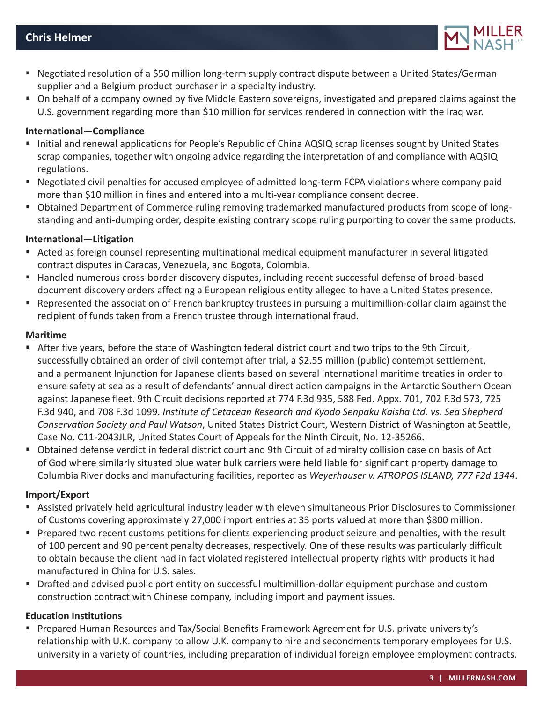

- Negotiated resolution of a \$50 million long-term supply contract dispute between a United States/German supplier and a Belgium product purchaser in a specialty industry.
- On behalf of a company owned by five Middle Eastern sovereigns, investigated and prepared claims against the U.S. government regarding more than \$10 million for services rendered in connection with the Iraq war.

#### **International—Compliance**

- Initial and renewal applications for People's Republic of China AQSIQ scrap licenses sought by United States scrap companies, together with ongoing advice regarding the interpretation of and compliance with AQSIQ regulations.
- Negotiated civil penalties for accused employee of admitted long-term FCPA violations where company paid more than \$10 million in fines and entered into a multi-year compliance consent decree.
- Obtained Department of Commerce ruling removing trademarked manufactured products from scope of longstanding and anti-dumping order, despite existing contrary scope ruling purporting to cover the same products.

#### **International—Litigation**

- Acted as foreign counsel representing multinational medical equipment manufacturer in several litigated contract disputes in Caracas, Venezuela, and Bogota, Colombia.
- Handled numerous cross-border discovery disputes, including recent successful defense of broad-based document discovery orders affecting a European religious entity alleged to have a United States presence.
- Represented the association of French bankruptcy trustees in pursuing a multimillion-dollar claim against the recipient of funds taken from a French trustee through international fraud.

#### **Maritime**

- After five years, before the state of Washington federal district court and two trips to the 9th Circuit, successfully obtained an order of civil contempt after trial, a \$2.55 million (public) contempt settlement, and a permanent Injunction for Japanese clients based on several international maritime treaties in order to ensure safety at sea as a result of defendants' annual direct action campaigns in the Antarctic Southern Ocean against Japanese fleet. 9th Circuit decisions reported at 774 F.3d 935, 588 Fed. Appx. 701, 702 F.3d 573, 725 F.3d 940, and 708 F.3d 1099. *Institute of Cetacean Research and Kyodo Senpaku Kaisha Ltd. vs. Sea Shepherd Conservation Society and Paul Watson*, United States District Court, Western District of Washington at Seattle, Case No. C11-2043JLR, United States Court of Appeals for the Ninth Circuit, No. 12-35266.
- Obtained defense verdict in federal district court and 9th Circuit of admiralty collision case on basis of Act of God where similarly situated blue water bulk carriers were held liable for significant property damage to Columbia River docks and manufacturing facilities, reported as *Weyerhauser v. ATROPOS ISLAND, 777 F2d 1344*.

#### **Import/Export**

- Assisted privately held agricultural industry leader with eleven simultaneous Prior Disclosures to Commissioner of Customs covering approximately 27,000 import entries at 33 ports valued at more than \$800 million.
- Prepared two recent customs petitions for clients experiencing product seizure and penalties, with the result of 100 percent and 90 percent penalty decreases, respectively. One of these results was particularly difficult to obtain because the client had in fact violated registered intellectual property rights with products it had manufactured in China for U.S. sales.
- Drafted and advised public port entity on successful multimillion-dollar equipment purchase and custom construction contract with Chinese company, including import and payment issues.

#### **Education Institutions**

 Prepared Human Resources and Tax/Social Benefits Framework Agreement for U.S. private university's relationship with U.K. company to allow U.K. company to hire and secondments temporary employees for U.S. university in a variety of countries, including preparation of individual foreign employee employment contracts.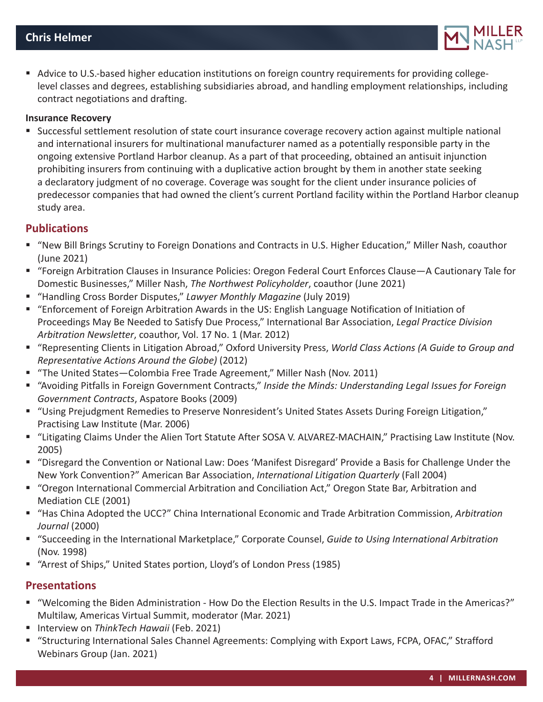

Advice to U.S.-based higher education institutions on foreign country requirements for providing collegelevel classes and degrees, establishing subsidiaries abroad, and handling employment relationships, including contract negotiations and drafting.

#### **Insurance Recovery**

 Successful settlement resolution of state court insurance coverage recovery action against multiple national and international insurers for multinational manufacturer named as a potentially responsible party in the ongoing extensive Portland Harbor cleanup. As a part of that proceeding, obtained an antisuit injunction prohibiting insurers from continuing with a duplicative action brought by them in another state seeking a declaratory judgment of no coverage. Coverage was sought for the client under insurance policies of predecessor companies that had owned the client's current Portland facility within the Portland Harbor cleanup study area.

## **Publications**

- "New Bill Brings Scrutiny to Foreign Donations and Contracts in U.S. Higher Education," Miller Nash, coauthor (June 2021)
- "Foreign Arbitration Clauses in Insurance Policies: Oregon Federal Court Enforces Clause—A Cautionary Tale for Domestic Businesses," Miller Nash, *The Northwest Policyholder*, coauthor (June 2021)
- "Handling Cross Border Disputes," *Lawyer Monthly Magazine* (July 2019)
- "Enforcement of Foreign Arbitration Awards in the US: English Language Notification of Initiation of Proceedings May Be Needed to Satisfy Due Process," International Bar Association, *Legal Practice Division Arbitration Newsletter*, coauthor, Vol. 17 No. 1 (Mar. 2012)
- "Representing Clients in Litigation Abroad," Oxford University Press, *World Class Actions (A Guide to Group and Representative Actions Around the Globe)* (2012)
- "The United States-Colombia Free Trade Agreement," Miller Nash (Nov. 2011)
- "Avoiding Pitfalls in Foreign Government Contracts," *Inside the Minds: Understanding Legal Issues for Foreign Government Contracts*, Aspatore Books (2009)
- "Using Prejudgment Remedies to Preserve Nonresident's United States Assets During Foreign Litigation," Practising Law Institute (Mar. 2006)
- "Litigating Claims Under the Alien Tort Statute After SOSA V. ALVAREZ-MACHAIN," Practising Law Institute (Nov. 2005)
- "Disregard the Convention or National Law: Does 'Manifest Disregard' Provide a Basis for Challenge Under the New York Convention?" American Bar Association, *International Litigation Quarterly* (Fall 2004)
- "Oregon International Commercial Arbitration and Conciliation Act," Oregon State Bar, Arbitration and Mediation CLE (2001)
- "Has China Adopted the UCC?" China International Economic and Trade Arbitration Commission, *Arbitration Journal* (2000)
- "Succeeding in the International Marketplace," Corporate Counsel, *Guide to Using International Arbitration* (Nov. 1998)
- "Arrest of Ships," United States portion, Lloyd's of London Press (1985)

# **Presentations**

- "Welcoming the Biden Administration How Do the Election Results in the U.S. Impact Trade in the Americas?" Multilaw, Americas Virtual Summit, moderator (Mar. 2021)
- Interview on *ThinkTech Hawaii* (Feb. 2021)
- "Structuring International Sales Channel Agreements: Complying with Export Laws, FCPA, OFAC," Strafford Webinars Group (Jan. 2021)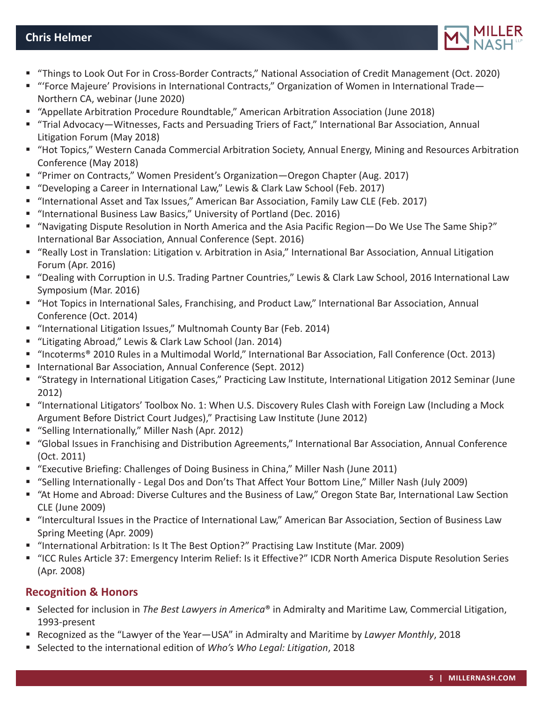

- "Things to Look Out For in Cross-Border Contracts," National Association of Credit Management (Oct. 2020)
- "Force Majeure' Provisions in International Contracts," Organization of Women in International Trade— Northern CA, webinar (June 2020)
- "Appellate Arbitration Procedure Roundtable," American Arbitration Association (June 2018)
- "Trial Advocacy—Witnesses, Facts and Persuading Triers of Fact," International Bar Association, Annual Litigation Forum (May 2018)
- "Hot Topics," Western Canada Commercial Arbitration Society, Annual Energy, Mining and Resources Arbitration Conference (May 2018)
- "Primer on Contracts," Women President's Organization—Oregon Chapter (Aug. 2017)
- "Developing a Career in International Law," Lewis & Clark Law School (Feb. 2017)
- "International Asset and Tax Issues," American Bar Association, Family Law CLE (Feb. 2017)
- "International Business Law Basics," University of Portland (Dec. 2016)
- "Navigating Dispute Resolution in North America and the Asia Pacific Region—Do We Use The Same Ship?" International Bar Association, Annual Conference (Sept. 2016)
- "Really Lost in Translation: Litigation v. Arbitration in Asia," International Bar Association, Annual Litigation Forum (Apr. 2016)
- "Dealing with Corruption in U.S. Trading Partner Countries," Lewis & Clark Law School, 2016 International Law Symposium (Mar. 2016)
- "Hot Topics in International Sales, Franchising, and Product Law," International Bar Association, Annual Conference (Oct. 2014)
- "International Litigation Issues," Multnomah County Bar (Feb. 2014)
- "Litigating Abroad," Lewis & Clark Law School (Jan. 2014)
- "Incoterms® 2010 Rules in a Multimodal World," International Bar Association, Fall Conference (Oct. 2013)
- International Bar Association, Annual Conference (Sept. 2012)
- "Strategy in International Litigation Cases," Practicing Law Institute, International Litigation 2012 Seminar (June 2012)
- "International Litigators' Toolbox No. 1: When U.S. Discovery Rules Clash with Foreign Law (Including a Mock Argument Before District Court Judges)," Practising Law Institute (June 2012)
- "Selling Internationally," Miller Nash (Apr. 2012)
- "Global Issues in Franchising and Distribution Agreements," International Bar Association, Annual Conference (Oct. 2011)
- "Executive Briefing: Challenges of Doing Business in China," Miller Nash (June 2011)
- "Selling Internationally Legal Dos and Don'ts That Affect Your Bottom Line," Miller Nash (July 2009)
- "At Home and Abroad: Diverse Cultures and the Business of Law," Oregon State Bar, International Law Section CLE (June 2009)
- "Intercultural Issues in the Practice of International Law," American Bar Association, Section of Business Law Spring Meeting (Apr. 2009)
- "International Arbitration: Is It The Best Option?" Practising Law Institute (Mar. 2009)
- "ICC Rules Article 37: Emergency Interim Relief: Is it Effective?" ICDR North America Dispute Resolution Series (Apr. 2008)

# **Recognition & Honors**

- Selected for inclusion in *The Best Lawyers in America®* in Admiralty and Maritime Law, Commercial Litigation, 1993-present
- Recognized as the "Lawyer of the Year—USA" in Admiralty and Maritime by *Lawyer Monthly*, 2018
- Selected to the international edition of *Who's Who Legal: Litigation*, 2018